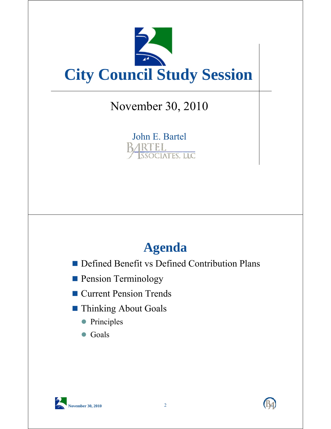

## November 30, 2010

John E. Bartel IRTEL. OCIATES, LLC

## **Agenda**

- **Defined Benefit vs Defined Contribution Plans**
- **Pension Terminology**
- Current Pension Trends
- **Thinking About Goals** 
	- Principles
	- Goals



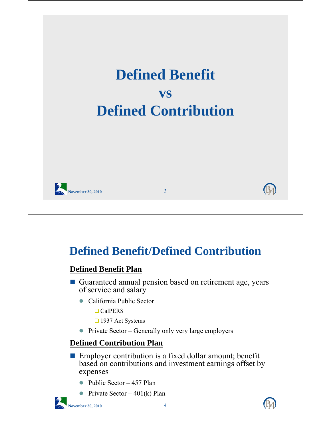

- Public Sector 457 Plan
- Private Sector  $401(k)$  Plan

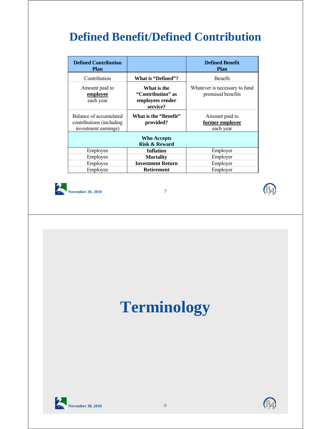## **Defined Benefit/Defined Contribution**

| <b>Defined Contribution</b><br><b>Plan</b>                                  |                                                                  | <b>Defined Benefit</b><br><b>Plan</b>              |  |  |  |  |  |
|-----------------------------------------------------------------------------|------------------------------------------------------------------|----------------------------------------------------|--|--|--|--|--|
| Contribution                                                                | What is "Defined"?                                               | <b>Benefit</b>                                     |  |  |  |  |  |
| Amount paid to<br>employee<br>each year                                     | What is the<br>"Contribution" as<br>employees render<br>service? | Whatever is necessary to fund<br>promised benefits |  |  |  |  |  |
| Balance of accumulated<br>contributions (including)<br>investment earnings) | What is the "Benefit"<br>provided?                               | Amount paid to<br>former employee<br>each year     |  |  |  |  |  |
| <b>Who Accepts</b><br><b>Risk &amp; Reward</b>                              |                                                                  |                                                    |  |  |  |  |  |
| Employee                                                                    | <b>Inflation</b>                                                 | Employer                                           |  |  |  |  |  |
| Employee                                                                    | <b>Mortality</b>                                                 | Employer                                           |  |  |  |  |  |
| Employee                                                                    | <b>Investment Return</b>                                         | Employer                                           |  |  |  |  |  |
| Employee                                                                    | <b>Retirement</b>                                                | Employer                                           |  |  |  |  |  |





## **Terminology**



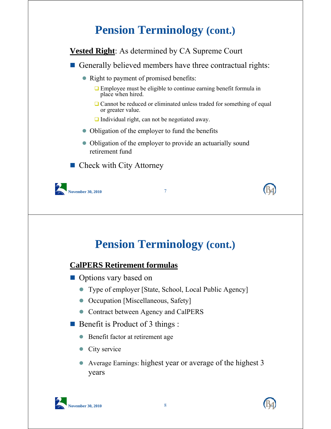## **Pension Terminology (cont.)**

**Vested Right**: As determined by CA Supreme Court

- Generally believed members have three contractual rights:
	- Right to payment of promised benefits:
		- $\Box$  Employee must be eligible to continue earning benefit formula in place when hired.
		- $\Box$  Cannot be reduced or eliminated unless traded for something of equal or greater value.
		- □ Individual right, can not be negotiated away.
	- Obligation of the employer to fund the benefits
	- Obligation of the employer to provide an actuarially sound retirement fund

 $\blacksquare$  Check with City Attorney



**Pension Terminology (cont.)**

#### **CalPERS Retirement formulas**

- **Options vary based on** 
	- Type of employer [State, School, Local Public Agency]
	- Occupation [Miscellaneous, Safety]
	- Contract between Agency and CalPERS
- Benefit is Product of 3 things :
	- Benefit factor at retirement age
	- City service
	- Average Earnings: highest year or average of the highest 3 years



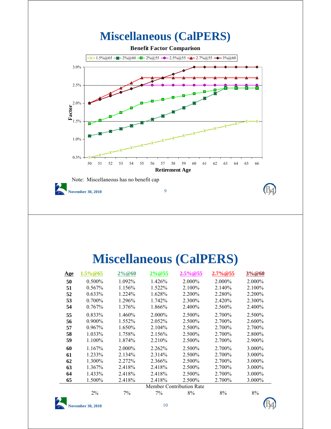

## **Miscellaneous (CalPERS)**

| <u>Age</u> | $1.5\% @ 65$                    | $2\% @ 60$ | $2\% @ 55$ | $2.5\% @ 55$ | 2.7%@55 | 3%@60  |
|------------|---------------------------------|------------|------------|--------------|---------|--------|
| 50         | $0.500\%$                       | 1.092%     | 1.426%     | 2.000%       | 2.000%  | 2.000% |
| 51         | 0.567%                          | 1.156%     | 1.522%     | 2.100%       | 2.140%  | 2.100% |
| 52         | 0.633%                          | 1.224%     | 1.628%     | 2.200%       | 2.280%  | 2.200% |
| 53         | $0.700\%$                       | 1.296%     | 1.742%     | 2.300%       | 2.420%  | 2.300% |
| 54         | 0.767%                          | 1.376%     | 1.866%     | 2.400%       | 2.560%  | 2.400% |
| 55         | 0.833%                          | 1.460%     | 2.000%     | 2.500%       | 2.700%  | 2.500% |
| 56         | $0.900\%$                       | 1.552%     | 2.052%     | 2.500%       | 2.700%  | 2.600% |
| 57         | 0.967%                          | 1.650%     | 2.104%     | 2.500%       | 2.700%  | 2.700% |
| 58         | 1.033%                          | 1.758%     | 2.156%     | 2.500%       | 2.700\% | 2.800% |
| 59         | 1.100%                          | 1.874%     | 2.210%     | 2.500%       | 2.700%  | 2.900% |
| 60         | 1.167%                          | 2.000%     | 2.262%     | 2.500%       | 2.700%  | 3.000% |
| 61         | 1.233%                          | 2.134%     | 2.314%     | 2.500%       | 2.700%  | 3.000% |
| 62         | 1.300%                          | 2.272%     | 2.366%     | 2.500%       | 2.700%  | 3.000% |
| 63         | 1.367%                          | 2.418%     | 2.418%     | 2.500%       | 2.700%  | 3.000% |
| 64         | 1.433%                          | 2.418%     | 2.418%     | 2.500%       | 2.700%  | 3.000% |
| 65         | 1.500%                          | 2.418%     | 2.418%     | 2.500%       | 2.700%  | 3.000% |
|            | <b>Member Contribution Rate</b> |            |            |              |         |        |
|            | $2\%$                           | 7%         | 7%         | 8%           | 8%      | 8%     |
|            | <b>November 30, 2010</b>        |            | 10         |              |         |        |

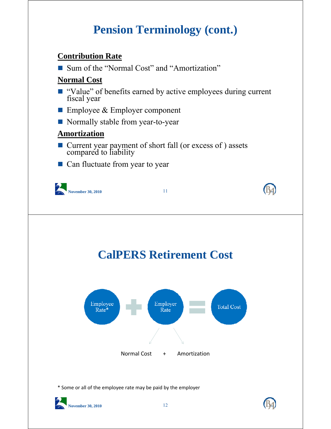## **Pension Terminology (cont.)**

#### **Contribution Rate**

■ Sum of the "Normal Cost" and "Amortization"

#### **Normal Cost**

- "Value" of benefits earned by active employees during current fiscal year
- $\blacksquare$  Employee & Employer component
- Normally stable from year-to-year

#### **Amortization**

- Current year payment of short fall (or excess of ) assets compared to liability
- Can fluctuate from year to year



## **CalPERS Retirement Cost**



\* Some or all of the employee rate may be paid by the employer



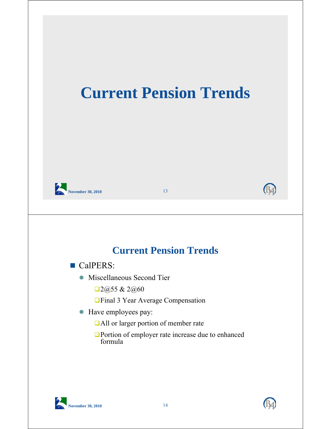



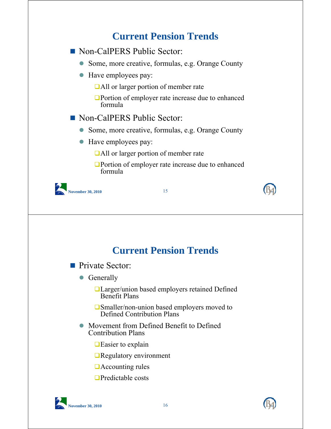## **November 30, 2010** 15 **Current Pension Trends** Non-CalPERS Public Sector: • Some, more creative, formulas, e.g. Orange County • Have employees pay: All or larger portion of member rate **Portion of employer rate increase due to enhanced** formula Non-CalPERS Public Sector: • Some, more creative, formulas, e.g. Orange County Have employees pay: ■All or larger portion of member rate ■Portion of employer rate increase due to enhanced formula **Current Pension Trends Private Sector:** • Generally Larger/union based employers retained Defined Benefit Plans **□Smaller/non-union based employers moved to** Defined Contribution Plans

- Movement from Defined Benefit to Defined Contribution Plans
	- $\Box$  Easier to explain
	- **□**Regulatory environment
	- **Accounting rules**
	- $\Box$ Predictable costs



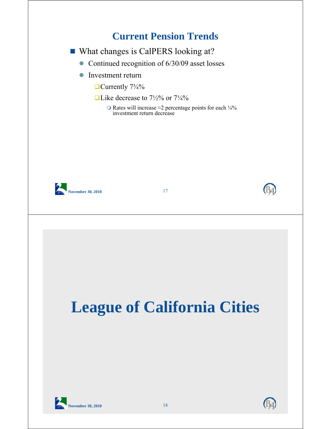# **November 30, 2010** 17 **Current Pension Trends** ■ What changes is CalPERS looking at? • Continued recognition of 6/30/09 asset losses **Investment return**  $\Box$  Currently  $7\frac{3}{4}\%$  $\Box$  Like decrease to 7½% or 7¼% O Rates will increase  $\approx$ 2 percentage points for each ¼% investment return decrease **November 30, 2010** 18 **League of California Cities**



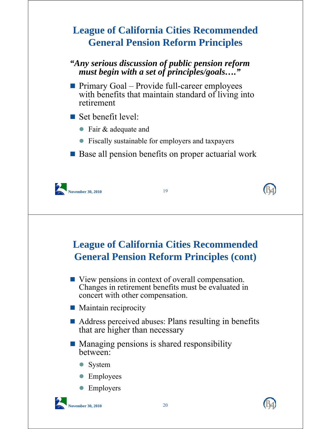## **League of California Cities Recommended General Pension Reform Principles**

#### *"Any serious discussion of public pension reform must begin with a set of principles/goals…."*

**Primary Goal – Provide full-career employees** with benefits that maintain standard of living into retirement

 $\blacksquare$  Set benefit level:

- Fair & adequate and
- Fiscally sustainable for employers and taxpayers
- Base all pension benefits on proper actuarial work



**League of California Cities Recommended General Pension Reform Principles (cont)**

- View pensions in context of overall compensation. Changes in retirement benefits must be evaluated in concert with other compensation.
- Maintain reciprocity
- Address perceived abuses: Plans resulting in benefits that are higher than necessary
- $\blacksquare$  Managing pensions is shared responsibility between:
	- System
	- Employees
	- Employers



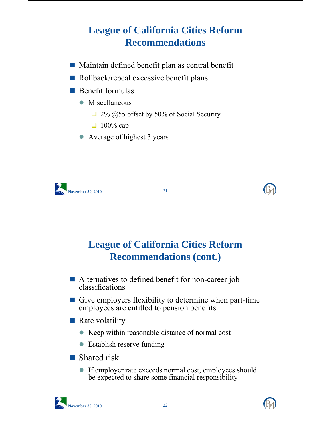## **League of California Cities Reform Recommendations**

- Maintain defined benefit plan as central benefit
- Rollback/repeal excessive benefit plans
- $\blacksquare$  Benefit formulas
	- Miscellaneous
		- $\Box$  2% @55 offset by 50% of Social Security
		- $\Box$  100% cap
	- Average of highest 3 years





- Alternatives to defined benefit for non-career job classifications
- Give employers flexibility to determine when part-time employees are entitled to pension benefits
- $\blacksquare$  Rate volatility
	- Keep within reasonable distance of normal cost
	- Establish reserve funding
- Shared risk
	- If employer rate exceeds normal cost, employees should be expected to share some financial responsibility